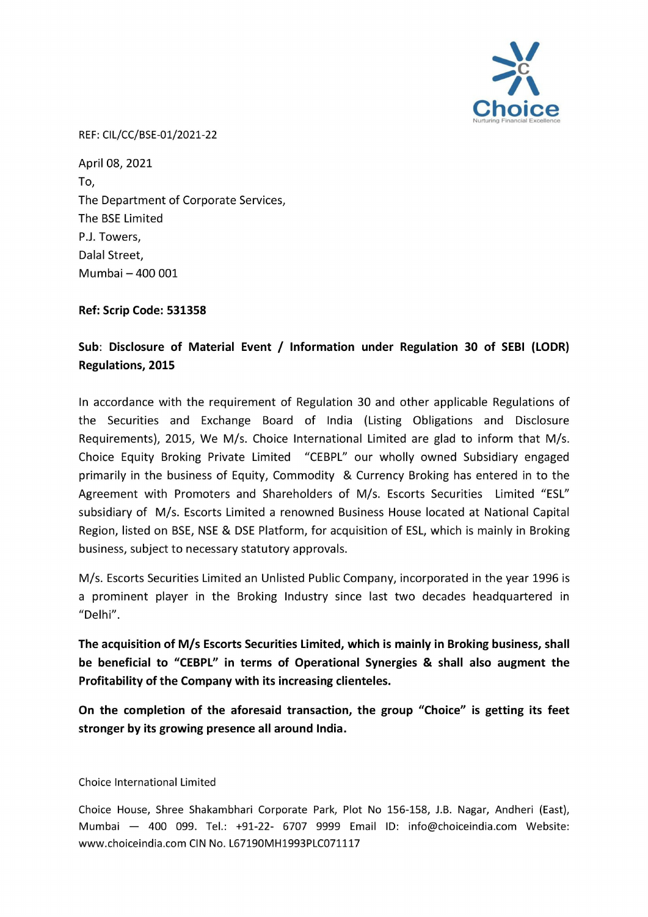

REF: CIL/CC/BSE-01/2021-22

April 08, 2021 To, The Department of Corporate Services, The BSE Limited P.J. Towers, Dalal Street, Mumbai — 400 001

Ref: Scrip Code: 531358

## Sub: Disclosure of Material Event / Information under Regulation 30 of SEBI (LODR) Regulations, 2015

In accordance with the requirement of Regulation 30 and other applicable Regulations of the Securities and Exchange Board of India (Listing Obligations and Disclosure Requirements), 2015, We M/s. Choice International Limited are glad to inform that M/s. Choice Equity Broking Private Limited "CEBPL" our wholly owned Subsidiary engaged primarily in the business of Equity, Commodity & Currency Broking has entered in to the Agreement with Promoters and Shareholders of M/s. Escorts Securities Limited "ESL" subsidiary of M/s. Escorts Limited a renowned Business House located at National Capital Region, listed on BSE, NSE & DSE Platform, for acquisition of ESL, which is mainly in Broking business, subject to necessary statutory approvals.

M/s. Escorts Securities Limited an Unlisted Public Company, incorporated in the year 1996 is a prominent player in the Broking Industry since last two decades headquartered in "Delhi".

The acquisition of M/s Escorts Securities Limited, which is mainly in Broking business, shall be beneficial to "CEBPL" in terms of Operational Synergies & shall also augment the Profitability of the Company with its increasing clienteles.

On the completion of the aforesaid transaction, the group "Choice" is getting its feet stronger by its growing presence all around India.

Choice International Limited

Choice House, Shree Shakambhari Corporate Park, Plot No 156-158, J.B. Nagar, Andheri (East), Mumbai — 400 099. Tel.: +91-22- 6707 9999 Email ID: info@choiceindia.com Website: www.choiceindia.com CIN No. L67190MH1993PLC071117